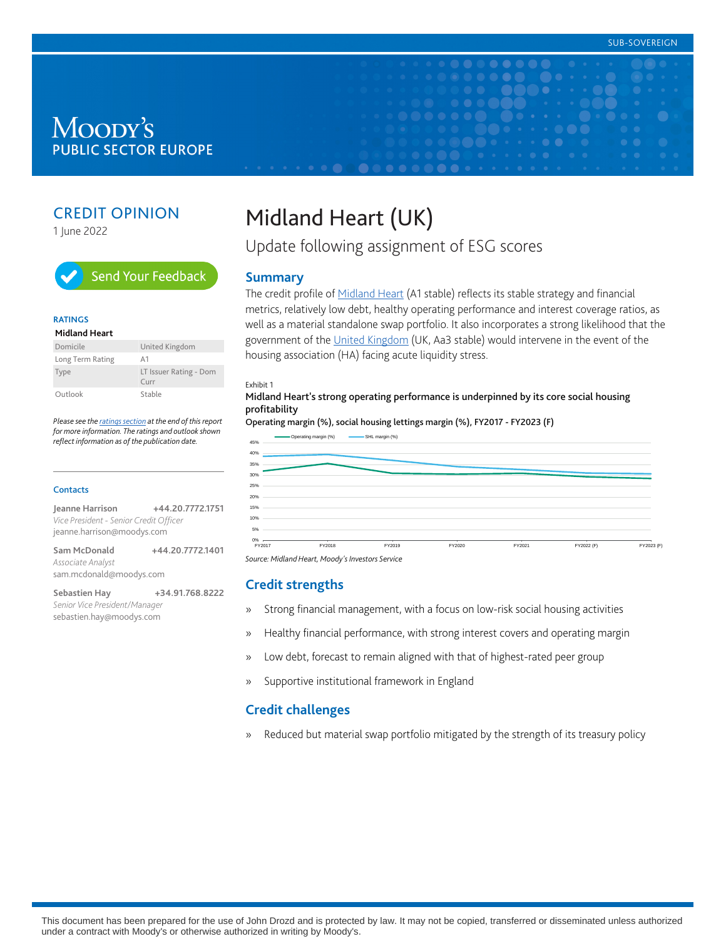## Moody's **PUBLIC SECTOR EUROPE**

## CREDIT OPINION

1 June 2022



#### **RATINGS**

#### **Midland Heart**

| Domicile         | United Kingdom                    |
|------------------|-----------------------------------|
| Long Term Rating | A <sub>1</sub>                    |
| Type             | LT Issuer Rating - Dom<br>$C$ urr |
| Outlook          | Stable                            |

*Please see the [ratings section](#page-6-0) at the end of this report for more information. The ratings and outlook shown reflect information as of the publication date.*

#### **Contacts**

**Jeanne Harrison +44.20.7772.1751** *Vice President - Senior Credit Officer* jeanne.harrison@moodys.com

| Sam McDonald             | +44.20.7772.1401 |
|--------------------------|------------------|
| <i>Associate Analyst</i> |                  |
| sam.mcdonald@moodys.com  |                  |

**Sebastien Hay +34.91.768.8222** *Senior Vice President/Manager* sebastien.hay@moodys.com

# Midland Heart (UK)

Update following assignment of ESG scores

#### **Summary**

The credit profile of **Midland Heart** (A1 stable) reflects its stable strategy and financial metrics, relatively low debt, healthy operating performance and interest coverage ratios, as well as a material standalone swap portfolio. It also incorporates a strong likelihood that the government of the [United Kingdom](https://www.moodys.com/credit-ratings/United-Kingdom-Government-of-credit-rating-788250) (UK, Aa3 stable) would intervene in the event of the housing association (HA) facing acute liquidity stress.

 $\bullet\bullet\bullet\bullet$ 

#### Exhibit 1

Midland Heart's strong operating performance is underpinned by its core social housing profitability

Operating margin (%), social housing lettings margin (%), FY2017 - FY2023 (F)



*Source: Midland Heart, Moody's Investors Service*

#### **Credit strengths**

- » Strong financial management, with a focus on low-risk social housing activities
- » Healthy financial performance, with strong interest covers and operating margin
- » Low debt, forecast to remain aligned with that of highest-rated peer group
- » Supportive institutional framework in England

#### **Credit challenges**

» Reduced but material swap portfolio mitigated by the strength of its treasury policy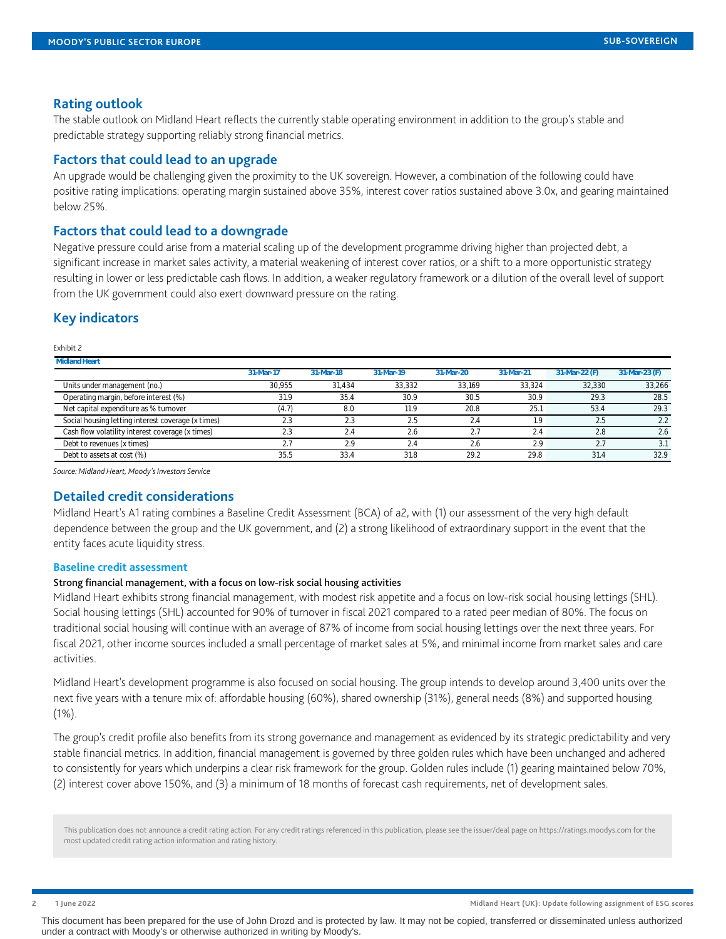#### **Rating outlook**

The stable outlook on Midland Heart reflects the currently stable operating environment in addition to the group's stable and predictable strategy supporting reliably strong financial metrics.

### **Factors that could lead to an upgrade**

An upgrade would be challenging given the proximity to the UK sovereign. However, a combination of the following could have positive rating implications: operating margin sustained above 35%, interest cover ratios sustained above 3.0x, and gearing maintained below 25%.

#### **Factors that could lead to a downgrade**

Negative pressure could arise from a material scaling up of the development programme driving higher than projected debt, a significant increase in market sales activity, a material weakening of interest cover ratios, or a shift to a more opportunistic strategy resulting in lower or less predictable cash flows. In addition, a weaker regulatory framework or a dilution of the overall level of support from the UK government could also exert downward pressure on the rating.

#### **Key indicators**

Exhibit 2

| <b>Midland Heart</b>                               |           |           |           |           |           |               |               |
|----------------------------------------------------|-----------|-----------|-----------|-----------|-----------|---------------|---------------|
|                                                    | 31-Mar-17 | 31-Mar-18 | 31-Mar-19 | 31-Mar-20 | 31-Mar-21 | 31-Mar-22 (F) | 31-Mar-23 (F) |
| Units under management (no.)                       | 30.955    | 31.434    | 33.332    | 33.169    | 33.324    | 32.330        | 33,266        |
| Operating margin, before interest (%)              | 31.9      | 35.4      | 30.9      | 30.5      | 30.9      | 29.3          | 28.5          |
| Net capital expenditure as % turnover              | 4.7       | 8.0       | 11.9      | 20.8      | 25.7      | 53.4          | 29.3          |
| Social housing letting interest coverage (x times) | 2.3       | 2.3       | 2.5       |           | - Q       | 2.5           | 2.2           |
| Cash flow volatility interest coverage (x times)   | 2.3       | 2.4       | 2.6       |           | 2.4       | 2.8           | 2.6           |
| Debt to revenues (x times)                         |           | 2.9       | 2.4       | Z.E       | 2.9       |               |               |
| Debt to assets at cost (%)                         | 35.5      | 33.4      | 31.8      | 29.2      | 29.8      | 31.4          | 32.9          |

*Source: Midland Heart, Moody's Investors Service*

#### **Detailed credit considerations**

Midland Heart's A1 rating combines a Baseline Credit Assessment (BCA) of a2, with (1) our assessment of the very high default dependence between the group and the UK government, and (2) a strong likelihood of extraordinary support in the event that the entity faces acute liquidity stress.

#### **Baseline credit assessment**

#### Strong financial management, with a focus on low-risk social housing activities

Midland Heart exhibits strong financial management, with modest risk appetite and a focus on low-risk social housing lettings (SHL). Social housing lettings (SHL) accounted for 90% of turnover in fiscal 2021 compared to a rated peer median of 80%. The focus on traditional social housing will continue with an average of 87% of income from social housing lettings over the next three years. For fiscal 2021, other income sources included a small percentage of market sales at 5%, and minimal income from market sales and care activities.

Midland Heart's development programme is also focused on social housing. The group intends to develop around 3,400 units over the next five years with a tenure mix of: affordable housing (60%), shared ownership (31%), general needs (8%) and supported housing (1%).

The group's credit profile also benefits from its strong governance and management as evidenced by its strategic predictability and very stable financial metrics. In addition, financial management is governed by three golden rules which have been unchanged and adhered to consistently for years which underpins a clear risk framework for the group. Golden rules include (1) gearing maintained below 70%, (2) interest cover above 150%, and (3) a minimum of 18 months of forecast cash requirements, net of development sales.

This publication does not announce a credit rating action. For any credit ratings referenced in this publication, please see the issuer/deal page on https://ratings.moodys.com for the most updated credit rating action information and rating history.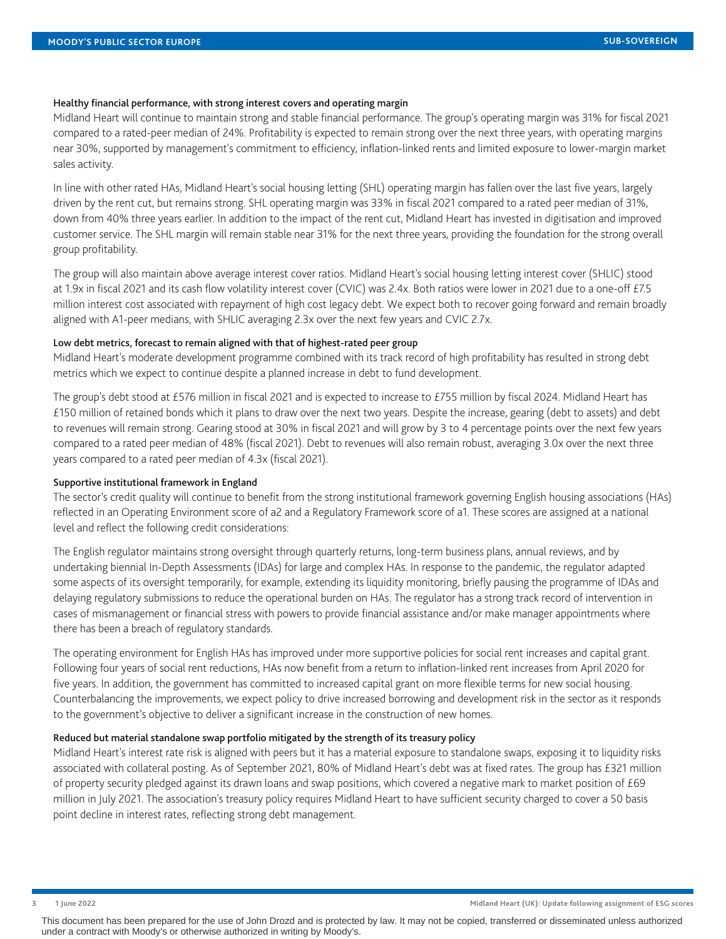#### Healthy financial performance, with strong interest covers and operating margin

Midland Heart will continue to maintain strong and stable financial performance. The group's operating margin was 31% for fiscal 2021 compared to a rated-peer median of 24%. Profitability is expected to remain strong over the next three years, with operating margins near 30%, supported by management's commitment to efficiency, inflation-linked rents and limited exposure to lower-margin market sales activity.

In line with other rated HAs, Midland Heart's social housing letting (SHL) operating margin has fallen over the last five years, largely driven by the rent cut, but remains strong. SHL operating margin was 33% in fiscal 2021 compared to a rated peer median of 31%, down from 40% three years earlier. In addition to the impact of the rent cut, Midland Heart has invested in digitisation and improved customer service. The SHL margin will remain stable near 31% for the next three years, providing the foundation for the strong overall group profitability.

The group will also maintain above average interest cover ratios. Midland Heart's social housing letting interest cover (SHLIC) stood at 1.9x in fiscal 2021 and its cash flow volatility interest cover (CVIC) was 2.4x. Both ratios were lower in 2021 due to a one-off £7.5 million interest cost associated with repayment of high cost legacy debt. We expect both to recover going forward and remain broadly aligned with A1-peer medians, with SHLIC averaging 2.3x over the next few years and CVIC 2.7x.

#### Low debt metrics, forecast to remain aligned with that of highest-rated peer group

Midland Heart's moderate development programme combined with its track record of high profitability has resulted in strong debt metrics which we expect to continue despite a planned increase in debt to fund development.

The group's debt stood at £576 million in fiscal 2021 and is expected to increase to £755 million by fiscal 2024. Midland Heart has £150 million of retained bonds which it plans to draw over the next two years. Despite the increase, gearing (debt to assets) and debt to revenues will remain strong. Gearing stood at 30% in fiscal 2021 and will grow by 3 to 4 percentage points over the next few years compared to a rated peer median of 48% (fiscal 2021). Debt to revenues will also remain robust, averaging 3.0x over the next three years compared to a rated peer median of 4.3x (fiscal 2021).

#### Supportive institutional framework in England

The sector's credit quality will continue to benefit from the strong institutional framework governing English housing associations (HAs) reflected in an Operating Environment score of a2 and a Regulatory Framework score of a1. These scores are assigned at a national level and reflect the following credit considerations:

The English regulator maintains strong oversight through quarterly returns, long-term business plans, annual reviews, and by undertaking biennial In-Depth Assessments (IDAs) for large and complex HAs. In response to the pandemic, the regulator adapted some aspects of its oversight temporarily, for example, extending its liquidity monitoring, briefly pausing the programme of IDAs and delaying regulatory submissions to reduce the operational burden on HAs. The regulator has a strong track record of intervention in cases of mismanagement or financial stress with powers to provide financial assistance and/or make manager appointments where there has been a breach of regulatory standards.

The operating environment for English HAs has improved under more supportive policies for social rent increases and capital grant. Following four years of social rent reductions, HAs now benefit from a return to inflation-linked rent increases from April 2020 for five years. In addition, the government has committed to increased capital grant on more flexible terms for new social housing. Counterbalancing the improvements, we expect policy to drive increased borrowing and development risk in the sector as it responds to the government's objective to deliver a significant increase in the construction of new homes.

#### Reduced but material standalone swap portfolio mitigated by the strength of its treasury policy

Midland Heart's interest rate risk is aligned with peers but it has a material exposure to standalone swaps, exposing it to liquidity risks associated with collateral posting. As of September 2021, 80% of Midland Heart's debt was at fixed rates. The group has £321 million of property security pledged against its drawn loans and swap positions, which covered a negative mark to market position of £69 million in July 2021. The association's treasury policy requires Midland Heart to have sufficient security charged to cover a 50 basis point decline in interest rates, reflecting strong debt management.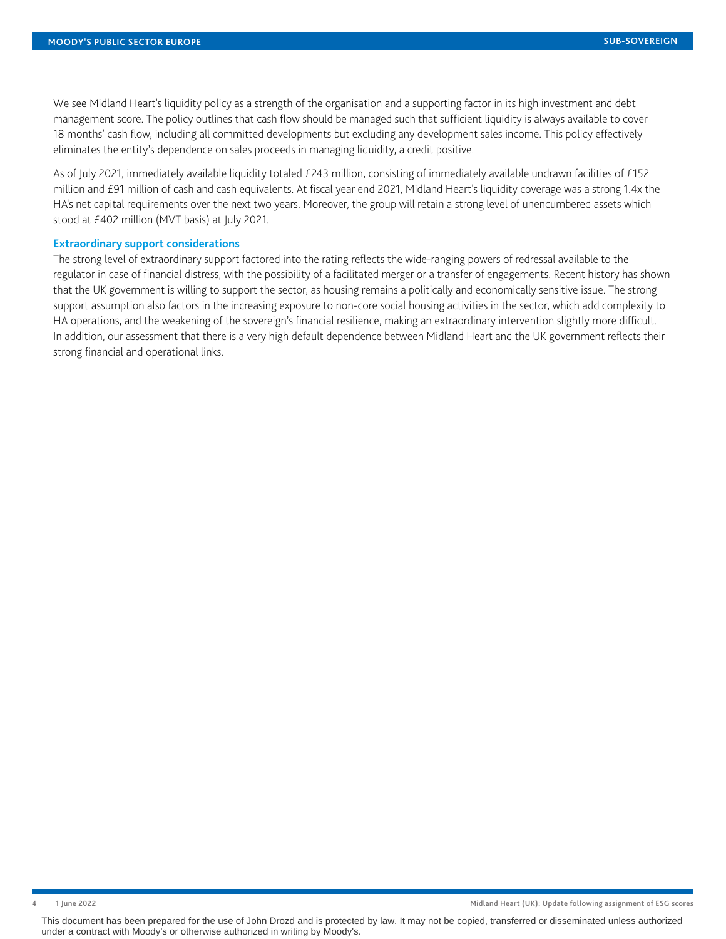We see Midland Heart's liquidity policy as a strength of the organisation and a supporting factor in its high investment and debt management score. The policy outlines that cash flow should be managed such that sufficient liquidity is always available to cover 18 months' cash flow, including all committed developments but excluding any development sales income. This policy effectively eliminates the entity's dependence on sales proceeds in managing liquidity, a credit positive.

As of July 2021, immediately available liquidity totaled £243 million, consisting of immediately available undrawn facilities of £152 million and £91 million of cash and cash equivalents. At fiscal year end 2021, Midland Heart's liquidity coverage was a strong 1.4x the HA's net capital requirements over the next two years. Moreover, the group will retain a strong level of unencumbered assets which stood at £402 million (MVT basis) at July 2021.

#### **Extraordinary support considerations**

The strong level of extraordinary support factored into the rating reflects the wide-ranging powers of redressal available to the regulator in case of financial distress, with the possibility of a facilitated merger or a transfer of engagements. Recent history has shown that the UK government is willing to support the sector, as housing remains a politically and economically sensitive issue. The strong support assumption also factors in the increasing exposure to non-core social housing activities in the sector, which add complexity to HA operations, and the weakening of the sovereign's financial resilience, making an extraordinary intervention slightly more difficult. In addition, our assessment that there is a very high default dependence between Midland Heart and the UK government reflects their strong financial and operational links.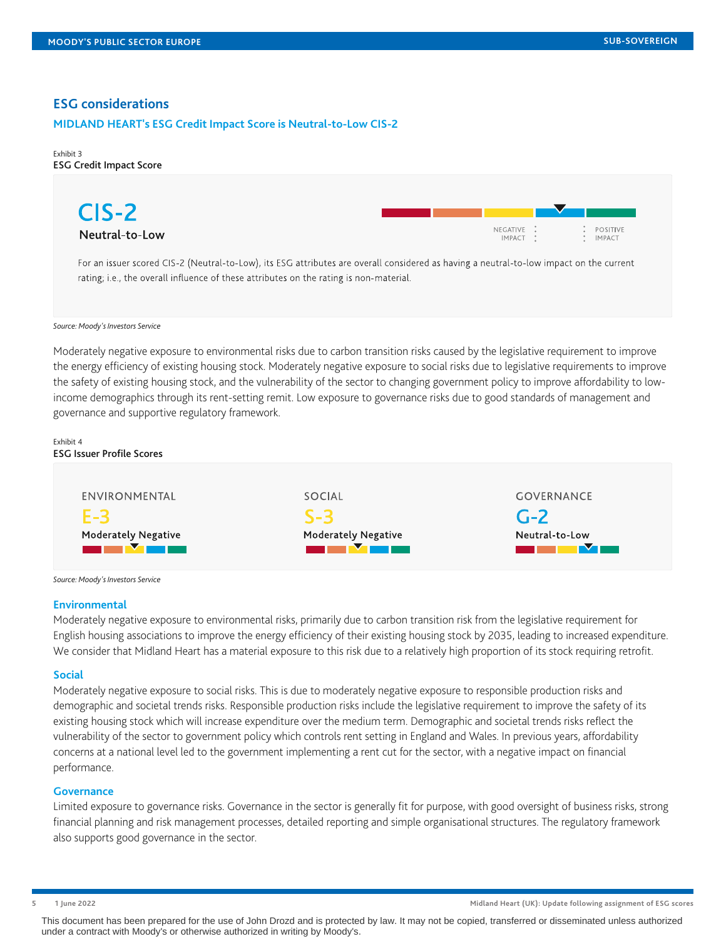#### **ESG considerations**

#### **MIDLAND HEART's ESG Credit Impact Score is Neutral-to-Low CIS-2**

#### Exhibit 3 ESG Credit Impact Score



*Source: Moody's Investors Service*

Moderately negative exposure to environmental risks due to carbon transition risks caused by the legislative requirement to improve the energy efficiency of existing housing stock. Moderately negative exposure to social risks due to legislative requirements to improve the safety of existing housing stock, and the vulnerability of the sector to changing government policy to improve affordability to lowincome demographics through its rent-setting remit. Low exposure to governance risks due to good standards of management and governance and supportive regulatory framework.

| Exhibit 4<br><b>ESG Issuer Profile Scores</b> |                            |                   |
|-----------------------------------------------|----------------------------|-------------------|
| ENVIRONMENTAL                                 | SOCIAL                     | <b>GOVERNANCE</b> |
| $E-3$                                         | $S-3$                      | $G-2$             |
| Moderately Negative                           | <b>Moderately Negative</b> | Neutral-to-Low    |

*Source: Moody's Investors Service*

#### **Environmental**

Moderately negative exposure to environmental risks, primarily due to carbon transition risk from the legislative requirement for English housing associations to improve the energy efficiency of their existing housing stock by 2035, leading to increased expenditure. We consider that Midland Heart has a material exposure to this risk due to a relatively high proportion of its stock requiring retrofit.

#### **Social**

Moderately negative exposure to social risks. This is due to moderately negative exposure to responsible production risks and demographic and societal trends risks. Responsible production risks include the legislative requirement to improve the safety of its existing housing stock which will increase expenditure over the medium term. Demographic and societal trends risks reflect the vulnerability of the sector to government policy which controls rent setting in England and Wales. In previous years, affordability concerns at a national level led to the government implementing a rent cut for the sector, with a negative impact on financial performance.

#### **Governance**

Limited exposure to governance risks. Governance in the sector is generally fit for purpose, with good oversight of business risks, strong financial planning and risk management processes, detailed reporting and simple organisational structures. The regulatory framework also supports good governance in the sector.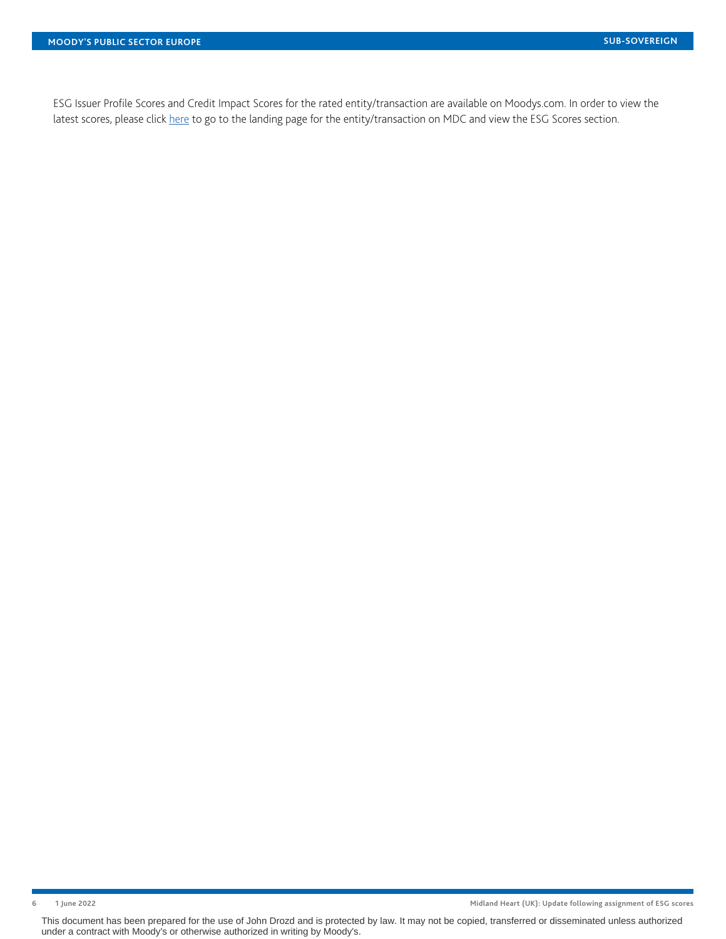ESG Issuer Profile Scores and Credit Impact Scores for the rated entity/transaction are available on Moodys.com. In order to view the latest scores, please click [here](https://www.moodys.com/credit-ratings/org-credit-rating-822433296) to go to the landing page for the entity/transaction on MDC and view the ESG Scores section.

**6 1 June 2022 Midland Heart (UK): Update following assignment of ESG scores**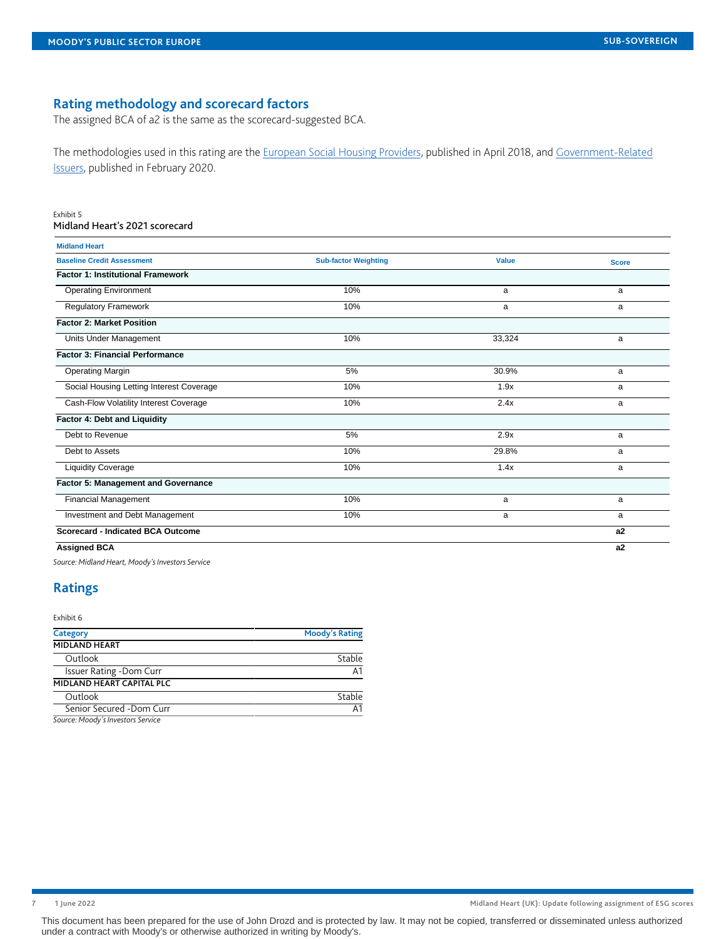## **Rating methodology and scorecard factors**

The assigned BCA of a2 is the same as the scorecard-suggested BCA.

The methodologies used in this rating are the [European Social Housing Providers,](https://www.moodys.com/researchdocumentcontentpage.aspx?docid=PBC_1113602) published in April 2018, and [Government-Related](https://www.moodys.com/researchdocumentcontentpage.aspx?docid=PBC_1186207) [Issuers](https://www.moodys.com/researchdocumentcontentpage.aspx?docid=PBC_1186207), published in February 2020.

#### Exhibit 5

#### Midland Heart's 2021 scorecard

| <b>Midland Heart</b>                     |                             |              |              |
|------------------------------------------|-----------------------------|--------------|--------------|
| <b>Baseline Credit Assessment</b>        | <b>Sub-factor Weighting</b> | <b>Value</b> | <b>Score</b> |
| <b>Factor 1: Institutional Framework</b> |                             |              |              |
| <b>Operating Environment</b>             | 10%                         | a            | a            |
| <b>Regulatory Framework</b>              | 10%                         | a            | a            |
| <b>Factor 2: Market Position</b>         |                             |              |              |
| Units Under Management                   | 10%                         | 33,324       | a            |
| <b>Factor 3: Financial Performance</b>   |                             |              |              |
| <b>Operating Margin</b>                  | 5%                          | 30.9%        | a            |
| Social Housing Letting Interest Coverage | 10%                         | 1.9x         | a            |
| Cash-Flow Volatility Interest Coverage   | 10%                         | 2.4x         | a            |
| Factor 4: Debt and Liquidity             |                             |              |              |
| Debt to Revenue                          | 5%                          | 2.9x         | a            |
| Debt to Assets                           | 10%                         | 29.8%        | a            |
| <b>Liquidity Coverage</b>                | 10%                         | 1.4x         | a            |
| Factor 5: Management and Governance      |                             |              |              |
| Financial Management                     | 10%                         | a            | a            |
| Investment and Debt Management           | 10%                         | a            | a            |
| <b>Scorecard - Indicated BCA Outcome</b> |                             |              | a2           |
| <b>Assigned BCA</b>                      |                             |              | a2           |

*Source: Midland Heart, Moody's Investors Service*

## <span id="page-6-0"></span>**Ratings**

Exhibit 6

| Category                          | <b>Moody's Rating</b> |
|-----------------------------------|-----------------------|
| <b>MIDLAND HEART</b>              |                       |
| Outlook                           | Stable                |
| Issuer Rating -Dom Curr           | А1                    |
| MIDLAND HEART CAPITAL PLC         |                       |
| Outlook                           | Stable                |
| Senior Secured -Dom Curr          | Δ1                    |
| Course: Moodu's Invostors Convice |                       |

*Source: Moody's Investors Service*

**7 1 June 2022 Midland Heart (UK): Update following assignment of ESG scores**